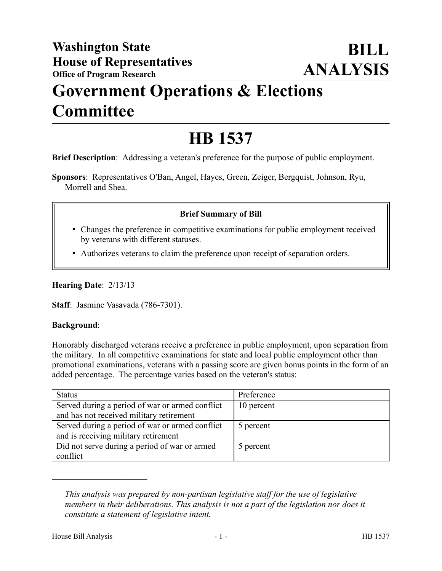## **Government Operations & Elections Committee**

# **HB 1537**

**Brief Description**: Addressing a veteran's preference for the purpose of public employment.

**Sponsors**: Representatives O'Ban, Angel, Hayes, Green, Zeiger, Bergquist, Johnson, Ryu, Morrell and Shea.

### **Brief Summary of Bill**

- Changes the preference in competitive examinations for public employment received by veterans with different statuses.
- Authorizes veterans to claim the preference upon receipt of separation orders.

**Hearing Date**: 2/13/13

**Staff**: Jasmine Vasavada (786-7301).

#### **Background**:

Honorably discharged veterans receive a preference in public employment, upon separation from the military. In all competitive examinations for state and local public employment other than promotional examinations, veterans with a passing score are given bonus points in the form of an added percentage. The percentage varies based on the veteran's status:

| <b>Status</b>                                   | Preference |
|-------------------------------------------------|------------|
| Served during a period of war or armed conflict | 10 percent |
| and has not received military retirement        |            |
| Served during a period of war or armed conflict | 5 percent  |
| and is receiving military retirement            |            |
| Did not serve during a period of war or armed   | 5 percent  |
| conflict                                        |            |

*This analysis was prepared by non-partisan legislative staff for the use of legislative members in their deliberations. This analysis is not a part of the legislation nor does it constitute a statement of legislative intent.*

––––––––––––––––––––––